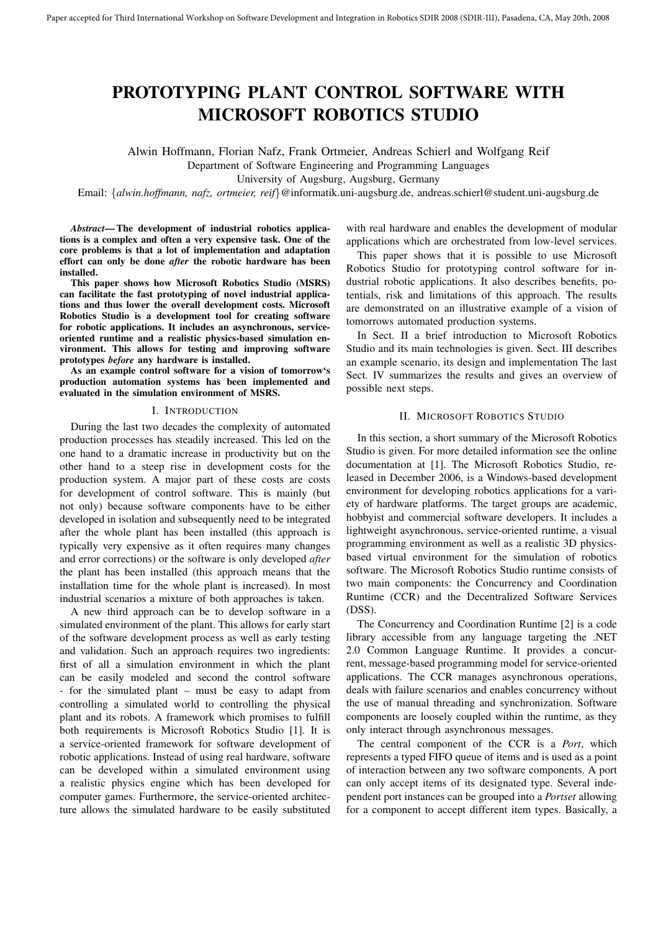# PROTOTYPING PLANT CONTROL SOFTWARE WITH MICROSOFT ROBOTICS STUDIO

Alwin Hoffmann, Florian Nafz, Frank Ortmeier, Andreas Schierl and Wolfgang Reif

Department of Software Engineering and Programming Languages

University of Augsburg, Augsburg, Germany

Email: {*alwin.hoffmann, nafz, ortmeier, reif*}@informatik.uni-augsburg.de, andreas.schierl@student.uni-augsburg.de

*Abstract*— The development of industrial robotics applications is a complex and often a very expensive task. One of the core problems is that a lot of implementation and adaptation effort can only be done *after* the robotic hardware has been installed.

This paper shows how Microsoft Robotics Studio (MSRS) can facilitate the fast prototyping of novel industrial applications and thus lower the overall development costs. Microsoft Robotics Studio is a development tool for creating software for robotic applications. It includes an asynchronous, serviceoriented runtime and a realistic physics-based simulation environment. This allows for testing and improving software prototypes *before* any hardware is installed.

As an example control software for a vision of tomorrow's production automation systems has been implemented and evaluated in the simulation environment of MSRS.

#### I. INTRODUCTION

During the last two decades the complexity of automated production processes has steadily increased. This led on the one hand to a dramatic increase in productivity but on the other hand to a steep rise in development costs for the production system. A major part of these costs are costs for development of control software. This is mainly (but not only) because software components have to be either developed in isolation and subsequently need to be integrated after the whole plant has been installed (this approach is typically very expensive as it often requires many changes and error corrections) or the software is only developed *after* the plant has been installed (this approach means that the installation time for the whole plant is increased). In most industrial scenarios a mixture of both approaches is taken.

A new third approach can be to develop software in a simulated environment of the plant. This allows for early start of the software development process as well as early testing and validation. Such an approach requires two ingredients: first of all a simulation environment in which the plant can be easily modeled and second the control software - for the simulated plant – must be easy to adapt from controlling a simulated world to controlling the physical plant and its robots. A framework which promises to fulfill both requirements is Microsoft Robotics Studio [1]. It is a service-oriented framework for software development of robotic applications. Instead of using real hardware, software can be developed within a simulated environment using a realistic physics engine which has been developed for computer games. Furthermore, the service-oriented architecture allows the simulated hardware to be easily substituted with real hardware and enables the development of modular applications which are orchestrated from low-level services.

This paper shows that it is possible to use Microsoft Robotics Studio for prototyping control software for industrial robotic applications. It also describes benefits, potentials, risk and limitations of this approach. The results are demonstrated on an illustrative example of a vision of tomorrows automated production systems.

In Sect. II a brief introduction to Microsoft Robotics Studio and its main technologies is given. Sect. III describes an example scenario, its design and implementation The last Sect. IV summarizes the results and gives an overview of possible next steps.

## II. MICROSOFT ROBOTICS STUDIO

In this section, a short summary of the Microsoft Robotics Studio is given. For more detailed information see the online documentation at [1]. The Microsoft Robotics Studio, released in December 2006, is a Windows-based development environment for developing robotics applications for a variety of hardware platforms. The target groups are academic, hobbyist and commercial software developers. It includes a lightweight asynchronous, service-oriented runtime, a visual programming environment as well as a realistic 3D physicsbased virtual environment for the simulation of robotics software. The Microsoft Robotics Studio runtime consists of two main components: the Concurrency and Coordination Runtime (CCR) and the Decentralized Software Services (DSS).

The Concurrency and Coordination Runtime [2] is a code library accessible from any language targeting the .NET 2.0 Common Language Runtime. It provides a concurrent, message-based programming model for service-oriented applications. The CCR manages asynchronous operations, deals with failure scenarios and enables concurrency without the use of manual threading and synchronization. Software components are loosely coupled within the runtime, as they only interact through asynchronous messages.

The central component of the CCR is a *Port*, which represents a typed FIFO queue of items and is used as a point of interaction between any two software components. A port can only accept items of its designated type. Several independent port instances can be grouped into a *Portset* allowing for a component to accept different item types. Basically, a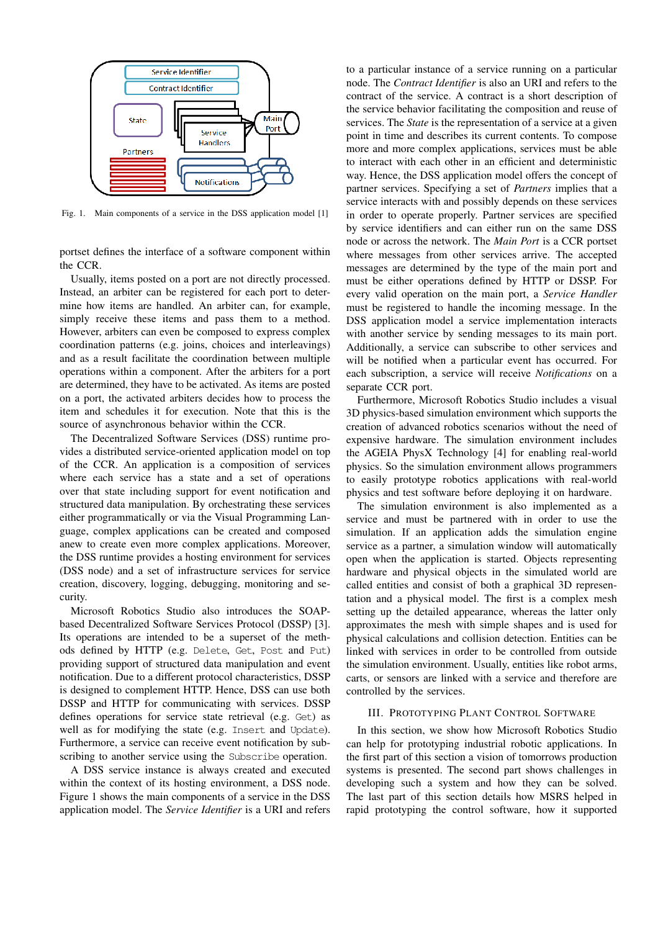

Fig. 1. Main components of a service in the DSS application model [1]

portset defines the interface of a software component within the CCR.

Usually, items posted on a port are not directly processed. Instead, an arbiter can be registered for each port to determine how items are handled. An arbiter can, for example, simply receive these items and pass them to a method. However, arbiters can even be composed to express complex coordination patterns (e.g. joins, choices and interleavings) and as a result facilitate the coordination between multiple operations within a component. After the arbiters for a port are determined, they have to be activated. As items are posted on a port, the activated arbiters decides how to process the item and schedules it for execution. Note that this is the source of asynchronous behavior within the CCR.

The Decentralized Software Services (DSS) runtime provides a distributed service-oriented application model on top of the CCR. An application is a composition of services where each service has a state and a set of operations over that state including support for event notification and structured data manipulation. By orchestrating these services either programmatically or via the Visual Programming Language, complex applications can be created and composed anew to create even more complex applications. Moreover, the DSS runtime provides a hosting environment for services (DSS node) and a set of infrastructure services for service creation, discovery, logging, debugging, monitoring and security.

Microsoft Robotics Studio also introduces the SOAPbased Decentralized Software Services Protocol (DSSP) [3]. Its operations are intended to be a superset of the methods defined by HTTP (e.g. Delete, Get, Post and Put) providing support of structured data manipulation and event notification. Due to a different protocol characteristics, DSSP is designed to complement HTTP. Hence, DSS can use both DSSP and HTTP for communicating with services. DSSP defines operations for service state retrieval (e.g. Get) as well as for modifying the state (e.g. Insert and Update). Furthermore, a service can receive event notification by subscribing to another service using the Subscribe operation.

A DSS service instance is always created and executed within the context of its hosting environment, a DSS node. Figure 1 shows the main components of a service in the DSS application model. The *Service Identifier* is a URI and refers

to a particular instance of a service running on a particular node. The *Contract Identifier* is also an URI and refers to the contract of the service. A contract is a short description of the service behavior facilitating the composition and reuse of services. The *State* is the representation of a service at a given point in time and describes its current contents. To compose more and more complex applications, services must be able to interact with each other in an efficient and deterministic way. Hence, the DSS application model offers the concept of partner services. Specifying a set of *Partners* implies that a service interacts with and possibly depends on these services in order to operate properly. Partner services are specified by service identifiers and can either run on the same DSS node or across the network. The *Main Port* is a CCR portset where messages from other services arrive. The accepted messages are determined by the type of the main port and must be either operations defined by HTTP or DSSP. For every valid operation on the main port, a *Service Handler* must be registered to handle the incoming message. In the DSS application model a service implementation interacts with another service by sending messages to its main port. Additionally, a service can subscribe to other services and will be notified when a particular event has occurred. For each subscription, a service will receive *Notifications* on a separate CCR port.

Furthermore, Microsoft Robotics Studio includes a visual 3D physics-based simulation environment which supports the creation of advanced robotics scenarios without the need of expensive hardware. The simulation environment includes the AGEIA PhysX Technology [4] for enabling real-world physics. So the simulation environment allows programmers to easily prototype robotics applications with real-world physics and test software before deploying it on hardware.

The simulation environment is also implemented as a service and must be partnered with in order to use the simulation. If an application adds the simulation engine service as a partner, a simulation window will automatically open when the application is started. Objects representing hardware and physical objects in the simulated world are called entities and consist of both a graphical 3D representation and a physical model. The first is a complex mesh setting up the detailed appearance, whereas the latter only approximates the mesh with simple shapes and is used for physical calculations and collision detection. Entities can be linked with services in order to be controlled from outside the simulation environment. Usually, entities like robot arms, carts, or sensors are linked with a service and therefore are controlled by the services.

#### III. PROTOTYPING PLANT CONTROL SOFTWARE

In this section, we show how Microsoft Robotics Studio can help for prototyping industrial robotic applications. In the first part of this section a vision of tomorrows production systems is presented. The second part shows challenges in developing such a system and how they can be solved. The last part of this section details how MSRS helped in rapid prototyping the control software, how it supported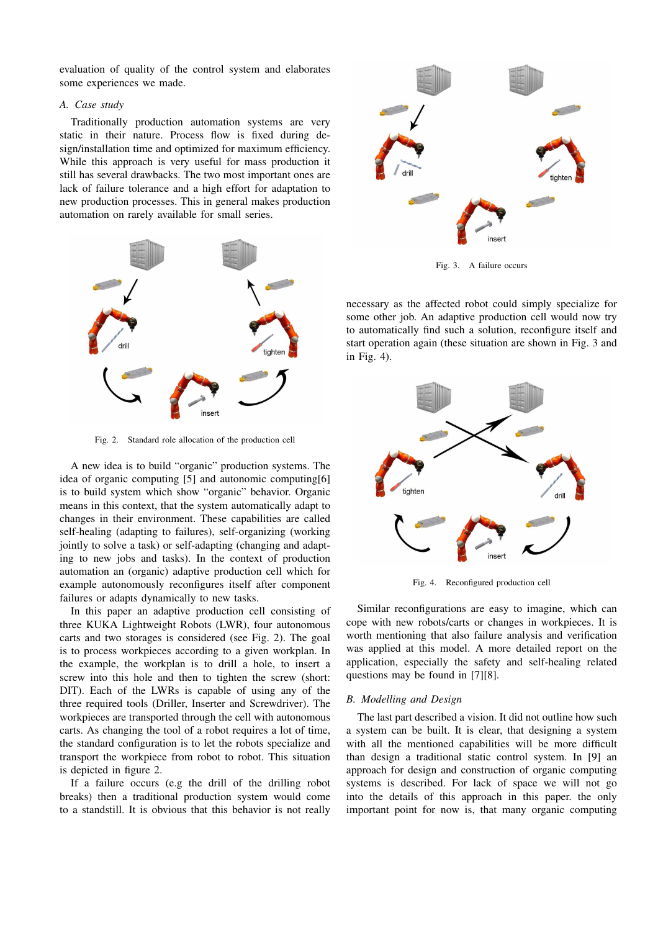evaluation of quality of the control system and elaborates some experiences we made.

## *A. Case study*

Traditionally production automation systems are very static in their nature. Process flow is fixed during design/installation time and optimized for maximum efficiency. While this approach is very useful for mass production it still has several drawbacks. The two most important ones are lack of failure tolerance and a high effort for adaptation to new production processes. This in general makes production automation on rarely available for small series.



Fig. 2. Standard role allocation of the production cell

A new idea is to build "organic" production systems. The idea of organic computing [5] and autonomic computing[6] is to build system which show "organic" behavior. Organic means in this context, that the system automatically adapt to changes in their environment. These capabilities are called self-healing (adapting to failures), self-organizing (working jointly to solve a task) or self-adapting (changing and adapting to new jobs and tasks). In the context of production automation an (organic) adaptive production cell which for example autonomously reconfigures itself after component failures or adapts dynamically to new tasks.

In this paper an adaptive production cell consisting of three KUKA Lightweight Robots (LWR), four autonomous carts and two storages is considered (see Fig. 2). The goal is to process workpieces according to a given workplan. In the example, the workplan is to drill a hole, to insert a screw into this hole and then to tighten the screw (short: DIT). Each of the LWRs is capable of using any of the three required tools (Driller, Inserter and Screwdriver). The workpieces are transported through the cell with autonomous carts. As changing the tool of a robot requires a lot of time, the standard configuration is to let the robots specialize and transport the workpiece from robot to robot. This situation is depicted in figure 2.

If a failure occurs (e.g the drill of the drilling robot breaks) then a traditional production system would come to a standstill. It is obvious that this behavior is not really



Fig. 3. A failure occurs

necessary as the affected robot could simply specialize for some other job. An adaptive production cell would now try to automatically find such a solution, reconfigure itself and start operation again (these situation are shown in Fig. 3 and in Fig. 4).



Fig. 4. Reconfigured production cell

Similar reconfigurations are easy to imagine, which can cope with new robots/carts or changes in workpieces. It is worth mentioning that also failure analysis and verification was applied at this model. A more detailed report on the application, especially the safety and self-healing related questions may be found in [7][8].

### *B. Modelling and Design*

The last part described a vision. It did not outline how such a system can be built. It is clear, that designing a system with all the mentioned capabilities will be more difficult than design a traditional static control system. In [9] an approach for design and construction of organic computing systems is described. For lack of space we will not go into the details of this approach in this paper. the only important point for now is, that many organic computing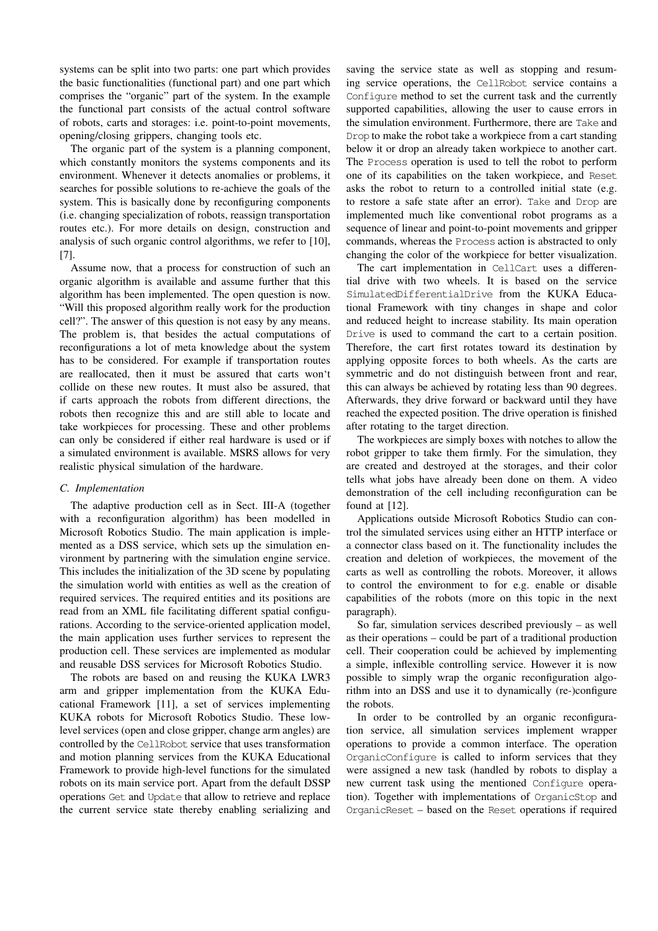systems can be split into two parts: one part which provides the basic functionalities (functional part) and one part which comprises the "organic" part of the system. In the example the functional part consists of the actual control software of robots, carts and storages: i.e. point-to-point movements, opening/closing grippers, changing tools etc.

The organic part of the system is a planning component, which constantly monitors the systems components and its environment. Whenever it detects anomalies or problems, it searches for possible solutions to re-achieve the goals of the system. This is basically done by reconfiguring components (i.e. changing specialization of robots, reassign transportation routes etc.). For more details on design, construction and analysis of such organic control algorithms, we refer to [10], [7].

Assume now, that a process for construction of such an organic algorithm is available and assume further that this algorithm has been implemented. The open question is now. "Will this proposed algorithm really work for the production cell?". The answer of this question is not easy by any means. The problem is, that besides the actual computations of reconfigurations a lot of meta knowledge about the system has to be considered. For example if transportation routes are reallocated, then it must be assured that carts won't collide on these new routes. It must also be assured, that if carts approach the robots from different directions, the robots then recognize this and are still able to locate and take workpieces for processing. These and other problems can only be considered if either real hardware is used or if a simulated environment is available. MSRS allows for very realistic physical simulation of the hardware.

### *C. Implementation*

The adaptive production cell as in Sect. III-A (together with a reconfiguration algorithm) has been modelled in Microsoft Robotics Studio. The main application is implemented as a DSS service, which sets up the simulation environment by partnering with the simulation engine service. This includes the initialization of the 3D scene by populating the simulation world with entities as well as the creation of required services. The required entities and its positions are read from an XML file facilitating different spatial configurations. According to the service-oriented application model, the main application uses further services to represent the production cell. These services are implemented as modular and reusable DSS services for Microsoft Robotics Studio.

The robots are based on and reusing the KUKA LWR3 arm and gripper implementation from the KUKA Educational Framework [11], a set of services implementing KUKA robots for Microsoft Robotics Studio. These lowlevel services (open and close gripper, change arm angles) are controlled by the CellRobot service that uses transformation and motion planning services from the KUKA Educational Framework to provide high-level functions for the simulated robots on its main service port. Apart from the default DSSP operations Get and Update that allow to retrieve and replace the current service state thereby enabling serializing and

saving the service state as well as stopping and resuming service operations, the CellRobot service contains a Configure method to set the current task and the currently supported capabilities, allowing the user to cause errors in the simulation environment. Furthermore, there are Take and Drop to make the robot take a workpiece from a cart standing below it or drop an already taken workpiece to another cart. The Process operation is used to tell the robot to perform one of its capabilities on the taken workpiece, and Reset asks the robot to return to a controlled initial state (e.g. to restore a safe state after an error). Take and Drop are implemented much like conventional robot programs as a sequence of linear and point-to-point movements and gripper commands, whereas the Process action is abstracted to only changing the color of the workpiece for better visualization.

The cart implementation in CellCart uses a differential drive with two wheels. It is based on the service SimulatedDifferentialDrive from the KUKA Educational Framework with tiny changes in shape and color and reduced height to increase stability. Its main operation Drive is used to command the cart to a certain position. Therefore, the cart first rotates toward its destination by applying opposite forces to both wheels. As the carts are symmetric and do not distinguish between front and rear, this can always be achieved by rotating less than 90 degrees. Afterwards, they drive forward or backward until they have reached the expected position. The drive operation is finished after rotating to the target direction.

The workpieces are simply boxes with notches to allow the robot gripper to take them firmly. For the simulation, they are created and destroyed at the storages, and their color tells what jobs have already been done on them. A video demonstration of the cell including reconfiguration can be found at [12].

Applications outside Microsoft Robotics Studio can control the simulated services using either an HTTP interface or a connector class based on it. The functionality includes the creation and deletion of workpieces, the movement of the carts as well as controlling the robots. Moreover, it allows to control the environment to for e.g. enable or disable capabilities of the robots (more on this topic in the next paragraph).

So far, simulation services described previously – as well as their operations – could be part of a traditional production cell. Their cooperation could be achieved by implementing a simple, inflexible controlling service. However it is now possible to simply wrap the organic reconfiguration algorithm into an DSS and use it to dynamically (re-)configure the robots.

In order to be controlled by an organic reconfiguration service, all simulation services implement wrapper operations to provide a common interface. The operation OrganicConfigure is called to inform services that they were assigned a new task (handled by robots to display a new current task using the mentioned Configure operation). Together with implementations of OrganicStop and OrganicReset – based on the Reset operations if required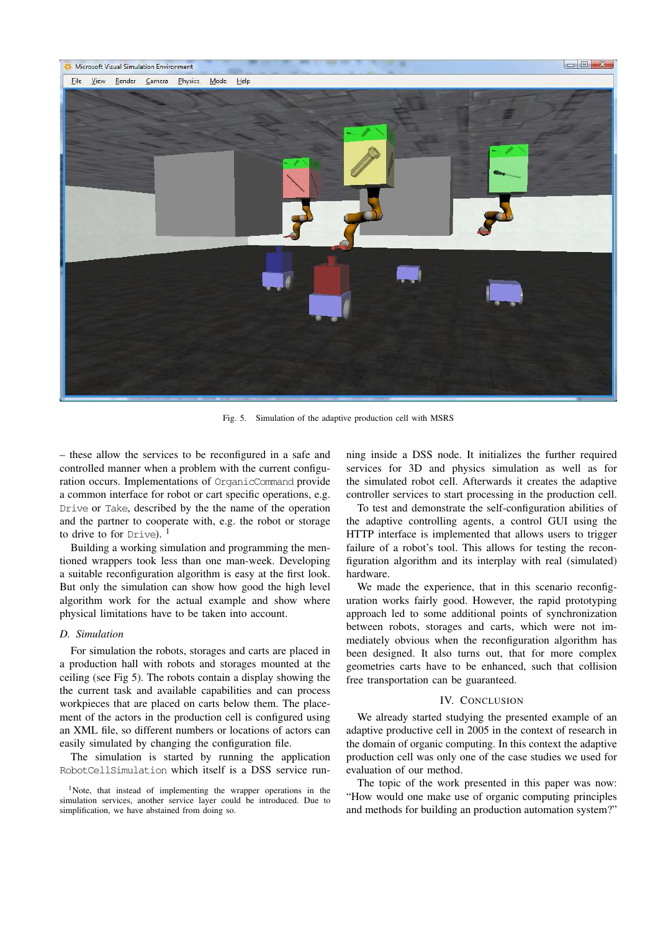

Fig. 5. Simulation of the adaptive production cell with MSRS

– these allow the services to be reconfigured in a safe and controlled manner when a problem with the current configuration occurs. Implementations of OrganicCommand provide a common interface for robot or cart specific operations, e.g. Drive or Take, described by the the name of the operation and the partner to cooperate with, e.g. the robot or storage to drive to for  $Drive$ ). <sup>1</sup>

Building a working simulation and programming the mentioned wrappers took less than one man-week. Developing a suitable reconfiguration algorithm is easy at the first look. But only the simulation can show how good the high level algorithm work for the actual example and show where physical limitations have to be taken into account.

### *D. Simulation*

For simulation the robots, storages and carts are placed in a production hall with robots and storages mounted at the ceiling (see Fig 5). The robots contain a display showing the the current task and available capabilities and can process workpieces that are placed on carts below them. The placement of the actors in the production cell is configured using an XML file, so different numbers or locations of actors can easily simulated by changing the configuration file.

The simulation is started by running the application RobotCellSimulation which itself is a DSS service running inside a DSS node. It initializes the further required services for 3D and physics simulation as well as for the simulated robot cell. Afterwards it creates the adaptive controller services to start processing in the production cell.

To test and demonstrate the self-configuration abilities of the adaptive controlling agents, a control GUI using the HTTP interface is implemented that allows users to trigger failure of a robot's tool. This allows for testing the reconfiguration algorithm and its interplay with real (simulated) hardware.

We made the experience, that in this scenario reconfiguration works fairly good. However, the rapid prototyping approach led to some additional points of synchronization between robots, storages and carts, which were not immediately obvious when the reconfiguration algorithm has been designed. It also turns out, that for more complex geometries carts have to be enhanced, such that collision free transportation can be guaranteed.

#### IV. CONCLUSION

We already started studying the presented example of an adaptive productive cell in 2005 in the context of research in the domain of organic computing. In this context the adaptive production cell was only one of the case studies we used for evaluation of our method.

The topic of the work presented in this paper was now: "How would one make use of organic computing principles and methods for building an production automation system?"

<sup>1</sup>Note, that instead of implementing the wrapper operations in the simulation services, another service layer could be introduced. Due to simplification, we have abstained from doing so.